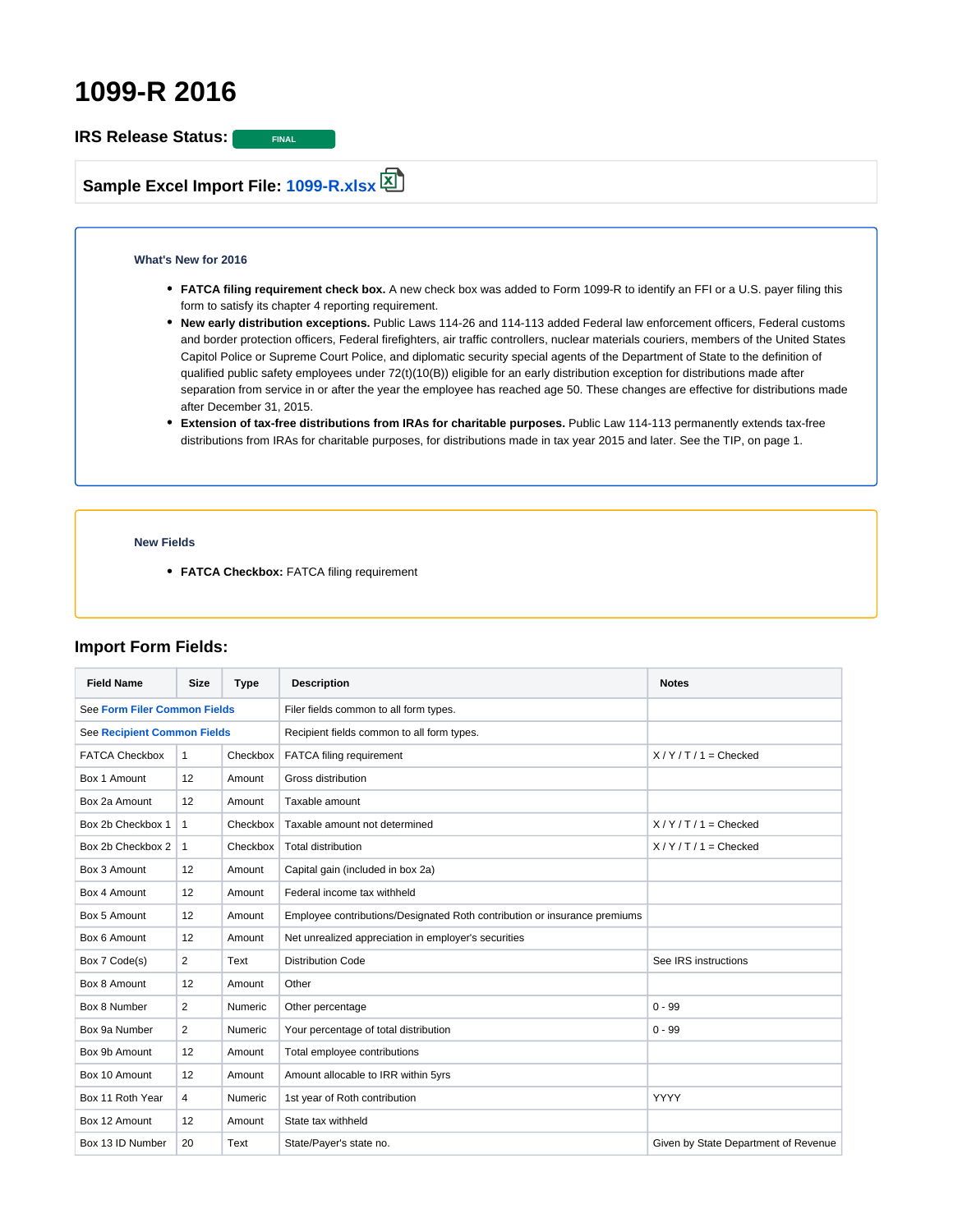# **1099-R 2016**

**IRS Release Status:** FINAL

**Sample Excel Import File: [1099-R.xlsx](https://wiki.1099pro.com/download/attachments/20906067/1099-R.xlsx?version=1&modificationDate=1461337883843&api=v2)**

#### **What's New for 2016**

- **FATCA filing requirement check box.** A new check box was added to Form 1099-R to identify an FFI or a U.S. payer filing this form to satisfy its chapter 4 reporting requirement.
- **New early distribution exceptions.** Public Laws 114-26 and 114-113 added Federal law enforcement officers, Federal customs and border protection officers, Federal firefighters, air traffic controllers, nuclear materials couriers, members of the United States Capitol Police or Supreme Court Police, and diplomatic security special agents of the Department of State to the definition of qualified public safety employees under 72(t)(10(B)) eligible for an early distribution exception for distributions made after separation from service in or after the year the employee has reached age 50. These changes are effective for distributions made after December 31, 2015.
- **Extension of tax-free distributions from IRAs for charitable purposes.** Public Law 114-113 permanently extends tax-free distributions from IRAs for charitable purposes, for distributions made in tax year 2015 and later. See the TIP, on page 1.

#### **New Fields**

**• FATCA Checkbox:** FATCA filing requirement

### **Import Form Fields:**

| <b>Field Name</b>                   | <b>Size</b>    | Type     | <b>Description</b>                                                        | <b>Notes</b>                         |
|-------------------------------------|----------------|----------|---------------------------------------------------------------------------|--------------------------------------|
| <b>See Form Filer Common Fields</b> |                |          | Filer fields common to all form types.                                    |                                      |
| <b>See Recipient Common Fields</b>  |                |          | Recipient fields common to all form types.                                |                                      |
| <b>FATCA Checkbox</b>               | $\mathbf{1}$   | Checkbox | FATCA filing requirement                                                  | $X/Y/T/1 =$ Checked                  |
| Box 1 Amount                        | 12             | Amount   | Gross distribution                                                        |                                      |
| Box 2a Amount                       | 12             | Amount   | Taxable amount                                                            |                                      |
| Box 2b Checkbox 1                   | $\mathbf{1}$   | Checkbox | Taxable amount not determined                                             | $X/Y/T/1 =$ Checked                  |
| Box 2b Checkbox 2                   | $\mathbf{1}$   | Checkbox | <b>Total distribution</b>                                                 | $X/Y/T/1 =$ Checked                  |
| Box 3 Amount                        | 12             | Amount   | Capital gain (included in box 2a)                                         |                                      |
| Box 4 Amount                        | 12             | Amount   | Federal income tax withheld                                               |                                      |
| Box 5 Amount                        | 12             | Amount   | Employee contributions/Designated Roth contribution or insurance premiums |                                      |
| Box 6 Amount                        | 12             | Amount   | Net unrealized appreciation in employer's securities                      |                                      |
| Box 7 Code(s)                       | $\overline{2}$ | Text     | <b>Distribution Code</b>                                                  | See IRS instructions                 |
| Box 8 Amount                        | 12             | Amount   | Other                                                                     |                                      |
| Box 8 Number                        | $\overline{2}$ | Numeric  | Other percentage                                                          | $0 - 99$                             |
| Box 9a Number                       | $\overline{2}$ | Numeric  | Your percentage of total distribution                                     | $0 - 99$                             |
| Box 9b Amount                       | 12             | Amount   | Total employee contributions                                              |                                      |
| Box 10 Amount                       | 12             | Amount   | Amount allocable to IRR within 5yrs                                       |                                      |
| Box 11 Roth Year                    | $\overline{4}$ | Numeric  | 1st year of Roth contribution                                             | <b>YYYY</b>                          |
| Box 12 Amount                       | 12             | Amount   | State tax withheld                                                        |                                      |
| Box 13 ID Number                    | 20             | Text     | State/Payer's state no.                                                   | Given by State Department of Revenue |